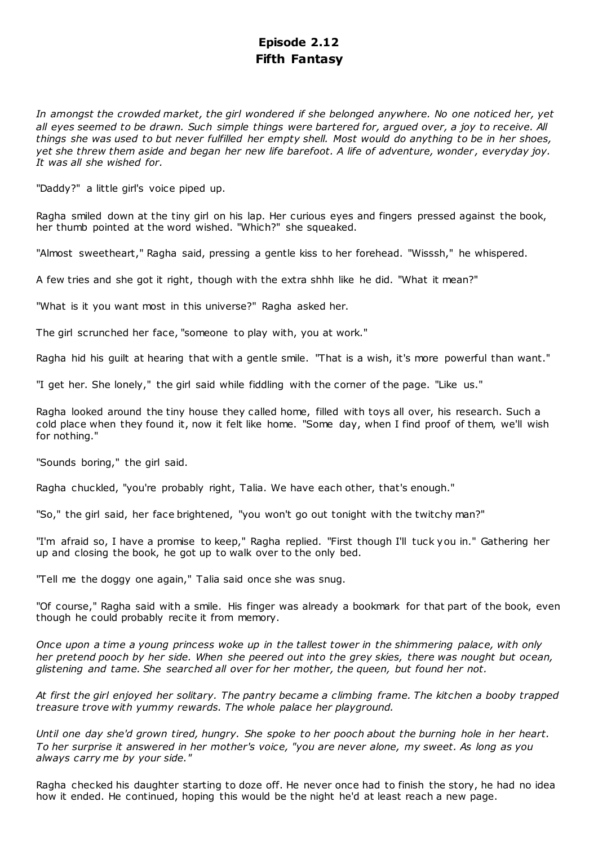# **Episode 2.12 Fifth Fantasy**

*In amongst the crowded market, the girl wondered if she belonged anywhere. No one noticed her, yet all eyes seemed to be drawn. Such simple things were bartered for, argued over, a joy to receive. All things she was used to but never fulfilled her empty shell. Most would do anything to be in her shoes, yet she threw them aside and began her new life barefoot. A life of adventure, wonder , everyday joy. It was all she wished for.*

"Daddy?" a little girl's voice piped up.

Ragha smiled down at the tiny girl on his lap. Her curious eyes and fingers pressed against the book, her thumb pointed at the word wished. "Which?" she squeaked.

"Almost sweetheart," Ragha said, pressing a gentle kiss to her forehead. "Wisssh," he whispered.

A few tries and she got it right, though with the extra shhh like he did. "What it mean?"

"What is it you want most in this universe?" Ragha asked her.

The girl scrunched her face, "someone to play with, you at work."

Ragha hid his guilt at hearing that with a gentle smile. "That is a wish, it's more powerful than want."

"I get her. She lonely," the girl said while fiddling with the corner of the page. "Like us."

Ragha looked around the tiny house they called home, filled with toys all over, his research. Such a cold place when they found it, now it felt like home. "Some day, when I find proof of them, we'll wish for nothing."

"Sounds boring," the girl said.

Ragha chuckled, "you're probably right, Talia. We have each other, that's enough."

"So," the girl said, her face brightened, "you won't go out tonight with the twitchy man?"

"I'm afraid so, I have a promise to keep," Ragha replied. "First though I'll tuck you in." Gathering her up and closing the book, he got up to walk over to the only bed.

"Tell me the doggy one again," Talia said once she was snug.

"Of course," Ragha said with a smile. His finger was already a bookmark for that part of the book, even though he could probably recite it from memory.

*Once upon a time a young princess woke up in the tallest tower in the shimmering palace, with only her pretend pooch by her side. When she peered out into the grey skies, there was nought but ocean, glistening and tame. She searched all over for her mother, the queen, but found her not.*

*At first the girl enjoyed her solitary. The pantry became a climbing frame. The kitchen a booby trapped treasure trove with yummy rewards. The whole palace her playground.*

*Until one day she'd grown tired, hungry. She spoke to her pooch about the burning hole in her heart. To her surprise it answered in her mother's voice, "you are never alone, my sweet. As long as you always carry me by your side."*

Ragha checked his daughter starting to doze off. He never once had to finish the story, he had no idea how it ended. He continued, hoping this would be the night he'd at least reach a new page.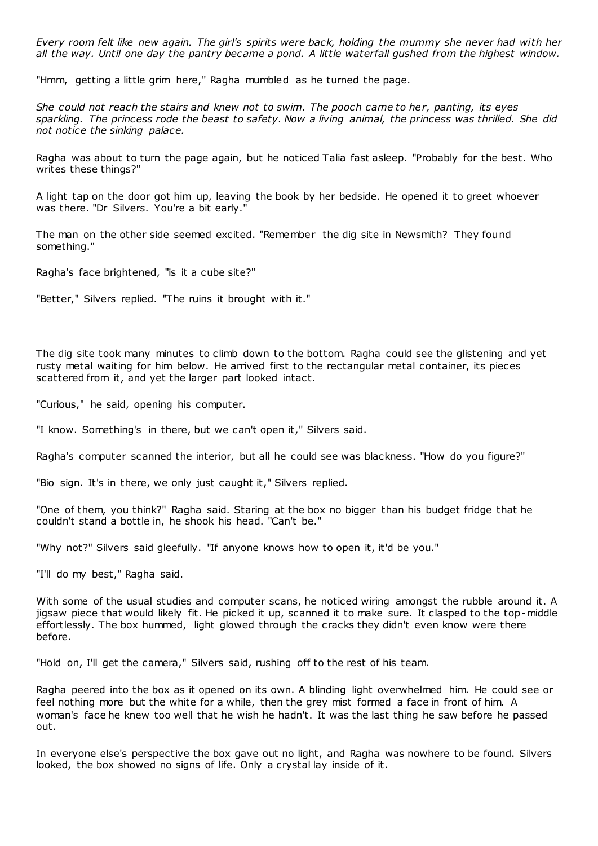*Every room felt like new again. The girl's spirits were back, holding the mummy she never had with her all the way. Until one day the pantry became a pond. A little waterfall gushed from the highest window.*

"Hmm, getting a little grim here," Ragha mumbled as he turned the page.

*She could not reach the stairs and knew not to swim. The pooch came to her, panting, its eyes sparkling. The princess rode the beast to safety. Now a living animal, the princess was thrilled. She did not notice the sinking palace.*

Ragha was about to turn the page again, but he noticed Talia fast asleep. "Probably for the best. Who writes these things?"

A light tap on the door got him up, leaving the book by her bedside. He opened it to greet whoever was there. "Dr Silvers. You're a bit early."

The man on the other side seemed excited. "Remember the dig site in Newsmith? They found something."

Ragha's face brightened, "is it a cube site?"

"Better," Silvers replied. "The ruins it brought with it."

The dig site took many minutes to climb down to the bottom. Ragha could see the glistening and yet rusty metal waiting for him below. He arrived first to the rectangular metal container, its pieces scattered from it, and yet the larger part looked intact.

"Curious," he said, opening his computer.

"I know. Something's in there, but we can't open it," Silvers said.

Ragha's computer scanned the interior, but all he could see was blackness. "How do you figure?"

"Bio sign. It's in there, we only just caught it," Silvers replied.

"One of them, you think?" Ragha said. Staring at the box no bigger than his budget fridge that he couldn't stand a bottle in, he shook his head. "Can't be."

"Why not?" Silvers said gleefully. "If anyone knows how to open it, it'd be you."

"I'll do my best," Ragha said.

With some of the usual studies and computer scans, he noticed wiring amongst the rubble around it. A jigsaw piece that would likely fit. He picked it up, scanned it to make sure. It clasped to the top-middle effortlessly. The box hummed, light glowed through the cracks they didn't even know were there before.

"Hold on, I'll get the camera," Silvers said, rushing off to the rest of his team.

Ragha peered into the box as it opened on its own. A blinding light overwhelmed him. He could see or feel nothing more but the white for a while, then the grey mist formed a face in front of him. A woman's face he knew too well that he wish he hadn't. It was the last thing he saw before he passed out.

In everyone else's perspective the box gave out no light, and Ragha was nowhere to be found. Silvers looked, the box showed no signs of life. Only a crystal lay inside of it.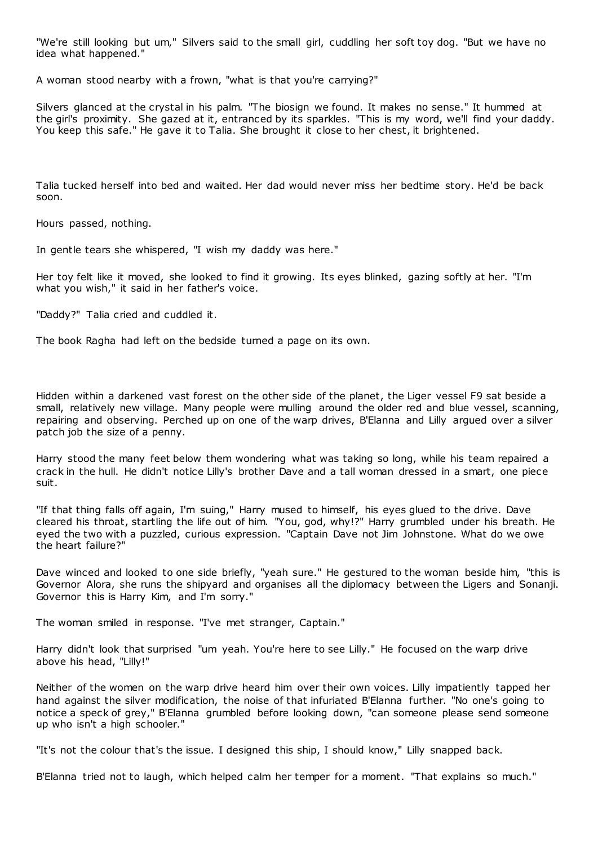"We're still looking but um," Silvers said to the small girl, cuddling her soft toy dog. "But we have no idea what happened."

A woman stood nearby with a frown, "what is that you're carrying?"

Silvers glanced at the crystal in his palm. "The biosign we found. It makes no sense." It hummed at the girl's proximity. She gazed at it, entranced by its sparkles. "This is my word, we'll find your daddy. You keep this safe." He gave it to Talia. She brought it close to her chest, it brightened.

Talia tucked herself into bed and waited. Her dad would never miss her bedtime story. He'd be back soon.

Hours passed, nothing.

In gentle tears she whispered, "I wish my daddy was here."

Her toy felt like it moved, she looked to find it growing. Its eyes blinked, gazing softly at her. "I'm what you wish," it said in her father's voice.

"Daddy?" Talia cried and cuddled it.

The book Ragha had left on the bedside turned a page on its own.

Hidden within a darkened vast forest on the other side of the planet, the Liger vessel F9 sat beside a small, relatively new village. Many people were mulling around the older red and blue vessel, scanning, repairing and observing. Perched up on one of the warp drives, B'Elanna and Lilly argued over a silver patch job the size of a penny.

Harry stood the many feet below them wondering what was taking so long, while his team repaired a crack in the hull. He didn't notice Lilly's brother Dave and a tall woman dressed in a smart, one piece suit.

"If that thing falls off again, I'm suing," Harry mused to himself, his eyes glued to the drive. Dave cleared his throat, startling the life out of him. "You, god, why!?" Harry grumbled under his breath. He eyed the two with a puzzled, curious expression. "Captain Dave not Jim Johnstone. What do we owe the heart failure?"

Dave winced and looked to one side briefly, "yeah sure." He gestured to the woman beside him, "this is Governor Alora, she runs the shipyard and organises all the diplomacy between the Ligers and Sonanji. Governor this is Harry Kim, and I'm sorry."

The woman smiled in response. "I've met stranger, Captain."

Harry didn't look that surprised "um yeah. You're here to see Lilly." He focused on the warp drive above his head, "Lilly!"

Neither of the women on the warp drive heard him over their own voices. Lilly impatiently tapped her hand against the silver modification, the noise of that infuriated B'Elanna further. "No one's going to notice a speck of grey," B'Elanna grumbled before looking down, "can someone please send someone up who isn't a high schooler."

"It's not the colour that's the issue. I designed this ship, I should know," Lilly snapped back.

B'Elanna tried not to laugh, which helped calm her temper for a moment. "That explains so much."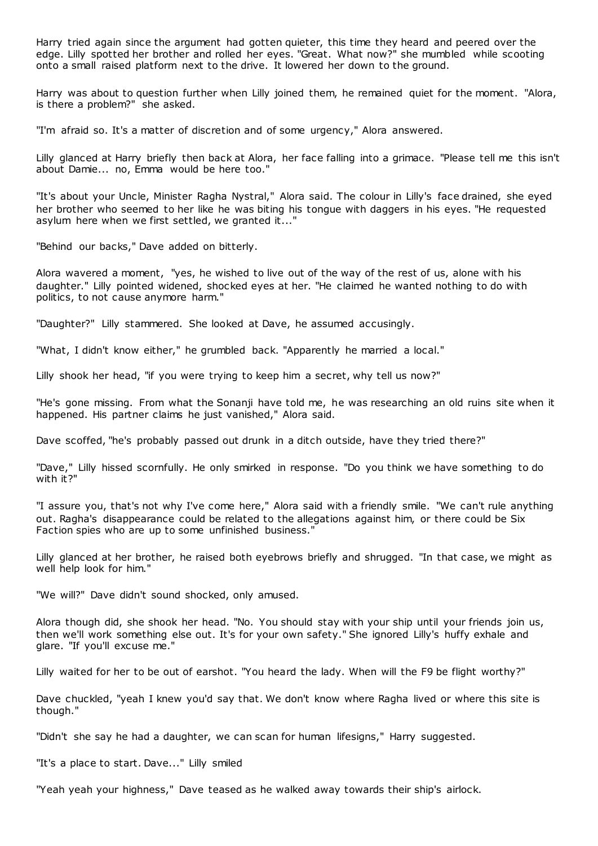Harry tried again since the argument had gotten quieter, this time they heard and peered over the edge. Lilly spotted her brother and rolled her eyes. "Great. What now?" she mumbled while scooting onto a small raised platform next to the drive. It lowered her down to the ground.

Harry was about to question further when Lilly joined them, he remained quiet for the moment. "Alora, is there a problem?" she asked.

"I'm afraid so. It's a matter of discretion and of some urgency," Alora answered.

Lilly glanced at Harry briefly then back at Alora, her face falling into a grimace. "Please tell me this isn't about Damie... no, Emma would be here too."

"It's about your Uncle, Minister Ragha Nystral," Alora said. The colour in Lilly's face drained, she eyed her brother who seemed to her like he was biting his tongue with daggers in his eyes. "He requested asylum here when we first settled, we granted it..."

"Behind our backs," Dave added on bitterly.

Alora wavered a moment, "yes, he wished to live out of the way of the rest of us, alone with his daughter." Lilly pointed widened, shocked eyes at her. "He claimed he wanted nothing to do with politics, to not cause anymore harm."

"Daughter?" Lilly stammered. She looked at Dave, he assumed accusingly.

"What, I didn't know either," he grumbled back. "Apparently he married a local."

Lilly shook her head, "if you were trying to keep him a secret, why tell us now?"

"He's gone missing. From what the Sonanji have told me, he was researching an old ruins site when it happened. His partner claims he just vanished," Alora said.

Dave scoffed, "he's probably passed out drunk in a ditch outside, have they tried there?"

"Dave," Lilly hissed scornfully. He only smirked in response. "Do you think we have something to do with it?"

"I assure you, that's not why I've come here," Alora said with a friendly smile. "We can't rule anything out. Ragha's disappearance could be related to the allegations against him, or there could be Six Faction spies who are up to some unfinished business."

Lilly glanced at her brother, he raised both eyebrows briefly and shrugged. "In that case, we might as well help look for him."

"We will?" Dave didn't sound shocked, only amused.

Alora though did, she shook her head. "No. You should stay with your ship until your friends join us, then we'll work something else out. It's for your own safety." She ignored Lilly's huffy exhale and glare. "If you'll excuse me."

Lilly waited for her to be out of earshot. "You heard the lady. When will the F9 be flight worthy?"

Dave chuckled, "yeah I knew you'd say that. We don't know where Ragha lived or where this site is though."

"Didn't she say he had a daughter, we can scan for human lifesigns," Harry suggested.

"It's a place to start. Dave..." Lilly smiled

"Yeah yeah your highness," Dave teased as he walked away towards their ship's airlock.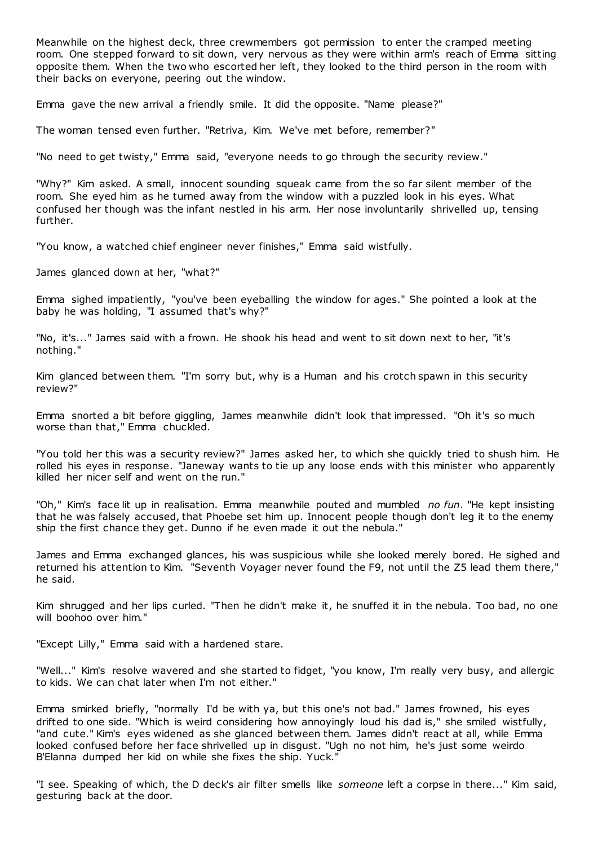Meanwhile on the highest deck, three crewmembers got permission to enter the cramped meeting room. One stepped forward to sit down, very nervous as they were within arm's reach of Emma sitting opposite them. When the two who escorted her left, they looked to the third person in the room with their backs on everyone, peering out the window.

Emma gave the new arrival a friendly smile. It did the opposite. "Name please?"

The woman tensed even further. "Retriva, Kim. We've met before, remember?"

"No need to get twisty," Emma said, "everyone needs to go through the security review."

"Why?" Kim asked. A small, innocent sounding squeak came from the so far silent member of the room. She eyed him as he turned away from the window with a puzzled look in his eyes. What confused her though was the infant nestled in his arm. Her nose involuntarily shrivelled up, tensing further.

"You know, a watched chief engineer never finishes," Emma said wistfully.

James glanced down at her, "what?"

Emma sighed impatiently, "you've been eyeballing the window for ages." She pointed a look at the baby he was holding, "I assumed that's why?"

"No, it's..." James said with a frown. He shook his head and went to sit down next to her, "it's nothing."

Kim glanced between them. "I'm sorry but, why is a Human and his crotch spawn in this security review?"

Emma snorted a bit before giggling, James meanwhile didn't look that impressed. "Oh it's so much worse than that," Emma chuckled.

"You told her this was a security review?" James asked her, to which she quickly tried to shush him. He rolled his eyes in response. "Janeway wants to tie up any loose ends with this minister who apparently killed her nicer self and went on the run."

"Oh," Kim's face lit up in realisation. Emma meanwhile pouted and mumbled *no fun*. "He kept insisting that he was falsely accused, that Phoebe set him up. Innocent people though don't leg it to the enemy ship the first chance they get. Dunno if he even made it out the nebula."

James and Emma exchanged glances, his was suspicious while she looked merely bored. He sighed and returned his attention to Kim. "Seventh Voyager never found the F9, not until the Z5 lead them there," he said.

Kim shrugged and her lips curled. "Then he didn't make it, he snuffed it in the nebula. Too bad, no one will boohoo over him."

"Except Lilly," Emma said with a hardened stare.

"Well..." Kim's resolve wavered and she started to fidget, "you know, I'm really very busy, and allergic to kids. We can chat later when I'm not either."

Emma smirked briefly, "normally I'd be with ya, but this one's not bad." James frowned, his eyes drifted to one side. "Which is weird considering how annoyingly loud his dad is," she smiled wistfully, "and cute." Kim's eyes widened as she glanced between them. James didn't react at all, while Emma looked confused before her face shrivelled up in disgust. "Ugh no not him, he's just some weirdo B'Elanna dumped her kid on while she fixes the ship. Yuck."

"I see. Speaking of which, the D deck's air filter smells like *someone* left a corpse in there..." Kim said, gesturing back at the door.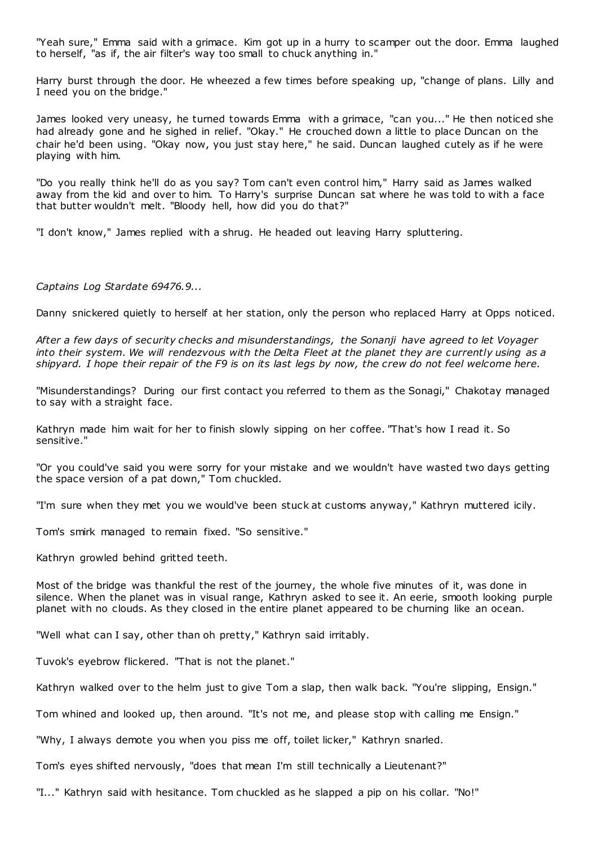"Yeah sure," Emma said with a grimace. Kim got up in a hurry to scamper out the door. Emma laughed to herself, "as if, the air filter's way too small to chuck anything in."

Harry burst through the door. He wheezed a few times before speaking up, "change of plans. Lilly and I need you on the bridge."

James looked very uneasy, he turned towards Emma with a grimace, "can you..." He then noticed she had already gone and he sighed in relief. "Okay." He crouched down a little to place Duncan on the chair he'd been using. "Okay now, you just stay here," he said. Duncan laughed cutely as if he were playing with him.

"Do you really think he'll do as you say? Tom can't even control him," Harry said as James walked away from the kid and over to him. To Harry's surprise Duncan sat where he was told to with a face that butter wouldn't melt. "Bloody hell, how did you do that?"

"I don't know," James replied with a shrug. He headed out leaving Harry spluttering.

*Captains Log Stardate 69476.9...*

Danny snickered quietly to herself at her station, only the person who replaced Harry at Opps noticed.

*After a few days of security checks and misunderstandings, the Sonanji have agreed to let Voyager into their system. We will rendezvous with the Delta Fleet at the planet they are currently using as a shipyard. I hope their repair of the F9 is on its last legs by now, the crew do not feel welcome here.*

"Misunderstandings? During our first contact you referred to them as the Sonagi," Chakotay managed to say with a straight face.

Kathryn made him wait for her to finish slowly sipping on her coffee. "That's how I read it. So sensitive."

"Or you could've said you were sorry for your mistake and we wouldn't have wasted two days getting the space version of a pat down," Tom chuckled.

"I'm sure when they met you we would've been stuck at customs anyway," Kathryn muttered icily.

Tom's smirk managed to remain fixed. "So sensitive."

Kathryn growled behind gritted teeth.

Most of the bridge was thankful the rest of the journey, the whole five minutes of it, was done in silence. When the planet was in visual range, Kathryn asked to see it. An eerie, smooth looking purple planet with no clouds. As they closed in the entire planet appeared to be churning like an ocean.

"Well what can I say, other than oh pretty," Kathryn said irritably.

Tuvok's eyebrow flickered. "That is not the planet."

Kathryn walked over to the helm just to give Tom a slap, then walk back. "You're slipping, Ensign."

Tom whined and looked up, then around. "It's not me, and please stop with calling me Ensign."

"Why, I always demote you when you piss me off, toilet licker," Kathryn snarled.

Tom's eyes shifted nervously, "does that mean I'm still technically a Lieutenant?"

"I..." Kathryn said with hesitance. Tom chuckled as he slapped a pip on his collar. "No!"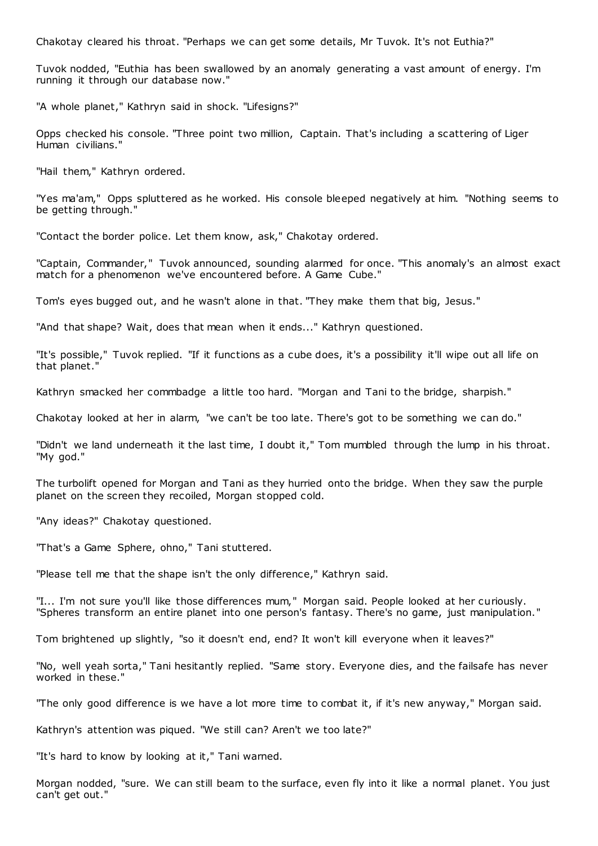Chakotay cleared his throat. "Perhaps we can get some details, Mr Tuvok. It's not Euthia?"

Tuvok nodded, "Euthia has been swallowed by an anomaly generating a vast amount of energy. I'm running it through our database now."

"A whole planet," Kathryn said in shock. "Lifesigns?"

Opps checked his console. "Three point two million, Captain. That's including a scattering of Liger Human civilians."

"Hail them," Kathryn ordered.

"Yes ma'am," Opps spluttered as he worked. His console bleeped negatively at him. "Nothing seems to be getting through."

"Contact the border police. Let them know, ask," Chakotay ordered.

"Captain, Commander," Tuvok announced, sounding alarmed for once. "This anomaly's an almost exact match for a phenomenon we've encountered before. A Game Cube."

Tom's eyes bugged out, and he wasn't alone in that. "They make them that big, Jesus."

"And that shape? Wait, does that mean when it ends..." Kathryn questioned.

"It's possible," Tuvok replied. "If it functions as a cube does, it's a possibility it'll wipe out all life on that planet."

Kathryn smacked her commbadge a little too hard. "Morgan and Tani to the bridge, sharpish."

Chakotay looked at her in alarm, "we can't be too late. There's got to be something we can do."

"Didn't we land underneath it the last time, I doubt it," Tom mumbled through the lump in his throat. "My god."

The turbolift opened for Morgan and Tani as they hurried onto the bridge. When they saw the purple planet on the screen they recoiled, Morgan stopped cold.

"Any ideas?" Chakotay questioned.

"That's a Game Sphere, ohno," Tani stuttered.

"Please tell me that the shape isn't the only difference," Kathryn said.

"I... I'm not sure you'll like those differences mum," Morgan said. People looked at her curiously. "Spheres transform an entire planet into one person's fantasy. There's no game, just manipulation."

Tom brightened up slightly, "so it doesn't end, end? It won't kill everyone when it leaves?"

"No, well yeah sorta," Tani hesitantly replied. "Same story. Everyone dies, and the failsafe has never worked in these."

"The only good difference is we have a lot more time to combat it, if it's new anyway," Morgan said.

Kathryn's attention was piqued. "We still can? Aren't we too late?"

"It's hard to know by looking at it," Tani warned.

Morgan nodded, "sure. We can still beam to the surface, even fly into it like a normal planet. You just can't get out."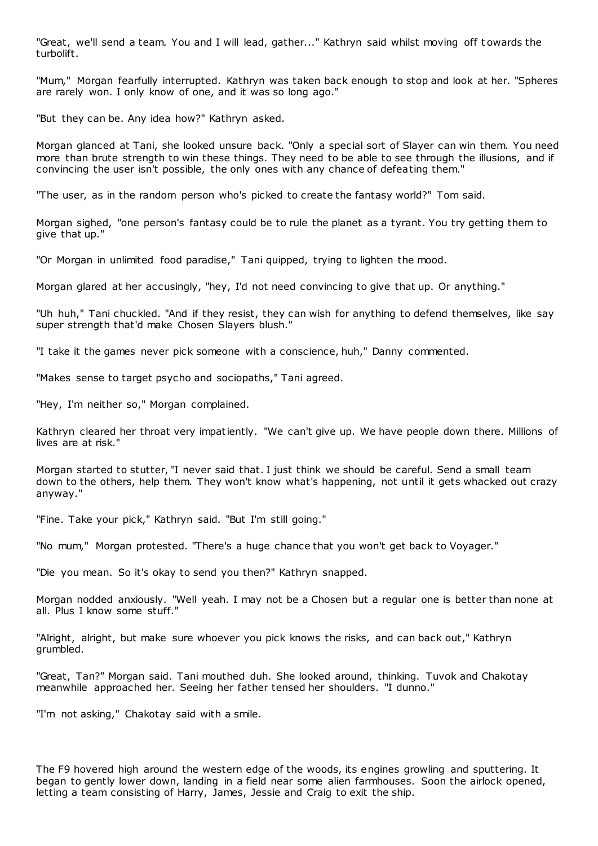"Great, we'll send a team. You and I will lead, gather..." Kathryn said whilst moving off towards the turbolift.

"Mum," Morgan fearfully interrupted. Kathryn was taken back enough to stop and look at her. "Spheres are rarely won. I only know of one, and it was so long ago."

"But they can be. Any idea how?" Kathryn asked.

Morgan glanced at Tani, she looked unsure back. "Only a special sort of Slayer can win them. You need more than brute strength to win these things. They need to be able to see through the illusions, and if convincing the user isn't possible, the only ones with any chance of defeating them."

"The user, as in the random person who's picked to create the fantasy world?" Tom said.

Morgan sighed, "one person's fantasy could be to rule the planet as a tyrant. You try getting them to give that up."

"Or Morgan in unlimited food paradise," Tani quipped, trying to lighten the mood.

Morgan glared at her accusingly, "hey, I'd not need convincing to give that up. Or anything."

"Uh huh," Tani chuckled. "And if they resist, they can wish for anything to defend themselves, like say super strength that'd make Chosen Slayers blush."

"I take it the games never pick someone with a conscience, huh," Danny commented.

"Makes sense to target psycho and sociopaths," Tani agreed.

"Hey, I'm neither so," Morgan complained.

Kathryn cleared her throat very impatiently. "We can't give up. We have people down there. Millions of lives are at risk."

Morgan started to stutter, "I never said that. I just think we should be careful. Send a small team down to the others, help them. They won't know what's happening, not until it gets whacked out crazy anyway."

"Fine. Take your pick," Kathryn said. "But I'm still going."

"No mum," Morgan protested. "There's a huge chance that you won't get back to Voyager."

"Die you mean. So it's okay to send you then?" Kathryn snapped.

Morgan nodded anxiously. "Well yeah. I may not be a Chosen but a regular one is better than none at all. Plus I know some stuff."

"Alright, alright, but make sure whoever you pick knows the risks, and can back out," Kathryn grumbled.

"Great, Tan?" Morgan said. Tani mouthed duh. She looked around, thinking. Tuvok and Chakotay meanwhile approached her. Seeing her father tensed her shoulders. "I dunno."

"I'm not asking," Chakotay said with a smile.

The F9 hovered high around the western edge of the woods, its engines growling and sputtering. It began to gently lower down, landing in a field near some alien farmhouses. Soon the airlock opened, letting a team consisting of Harry, James, Jessie and Craig to exit the ship.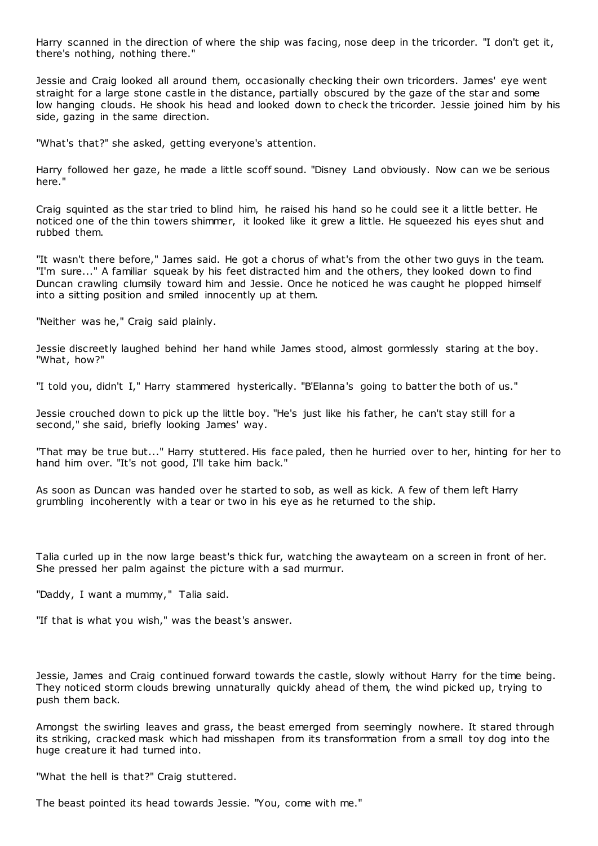Harry scanned in the direction of where the ship was facing, nose deep in the tricorder. "I don't get it, there's nothing, nothing there."

Jessie and Craig looked all around them, occasionally checking their own tricorders. James' eye went straight for a large stone castle in the distance, partially obscured by the gaze of the star and some low hanging clouds. He shook his head and looked down to check the tricorder. Jessie joined him by his side, gazing in the same direction.

"What's that?" she asked, getting everyone's attention.

Harry followed her gaze, he made a little scoff sound. "Disney Land obviously. Now can we be serious here."

Craig squinted as the star tried to blind him, he raised his hand so he could see it a little better. He noticed one of the thin towers shimmer, it looked like it grew a little. He squeezed his eyes shut and rubbed them.

"It wasn't there before," James said. He got a chorus of what's from the other two guys in the team. "I'm sure..." A familiar squeak by his feet distracted him and the others, they looked down to find Duncan crawling clumsily toward him and Jessie. Once he noticed he was caught he plopped himself into a sitting position and smiled innocently up at them.

"Neither was he," Craig said plainly.

Jessie discreetly laughed behind her hand while James stood, almost gormlessly staring at the boy. "What, how?"

"I told you, didn't I," Harry stammered hysterically. "B'Elanna's going to batter the both of us."

Jessie crouched down to pick up the little boy. "He's just like his father, he can't stay still for a second," she said, briefly looking James' way.

"That may be true but..." Harry stuttered. His face paled, then he hurried over to her, hinting for her to hand him over. "It's not good, I'll take him back."

As soon as Duncan was handed over he started to sob, as well as kick. A few of them left Harry grumbling incoherently with a tear or two in his eye as he returned to the ship.

Talia curled up in the now large beast's thick fur, watching the awayteam on a screen in front of her. She pressed her palm against the picture with a sad murmur.

"Daddy, I want a mummy," Talia said.

"If that is what you wish," was the beast's answer.

Jessie, James and Craig continued forward towards the castle, slowly without Harry for the time being. They noticed storm clouds brewing unnaturally quickly ahead of them, the wind picked up, trying to push them back.

Amongst the swirling leaves and grass, the beast emerged from seemingly nowhere. It stared through its striking, cracked mask which had misshapen from its transformation from a small toy dog into the huge creature it had turned into.

"What the hell is that?" Craig stuttered.

The beast pointed its head towards Jessie. "You, come with me."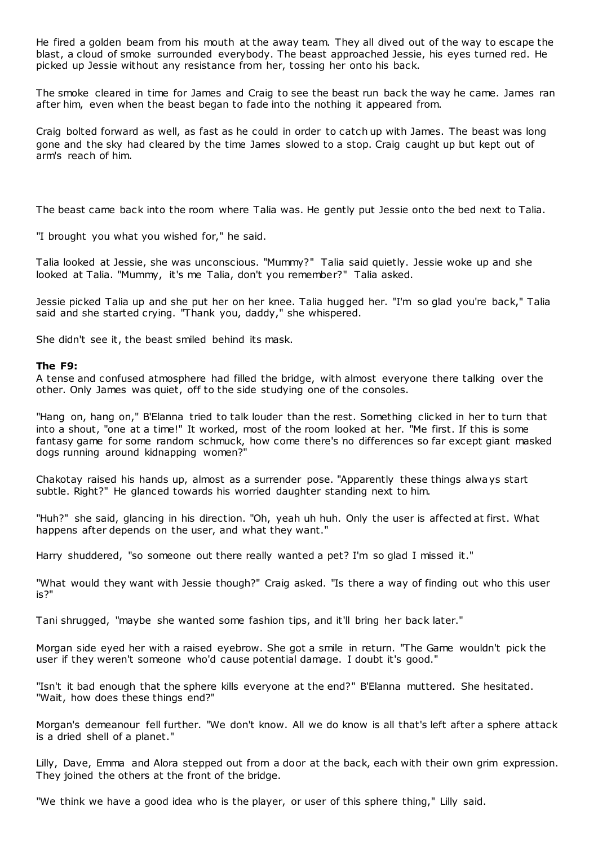He fired a golden beam from his mouth at the away team. They all dived out of the way to escape the blast, a cloud of smoke surrounded everybody. The beast approached Jessie, his eyes turned red. He picked up Jessie without any resistance from her, tossing her onto his back.

The smoke cleared in time for James and Craig to see the beast run back the way he came. James ran after him, even when the beast began to fade into the nothing it appeared from.

Craig bolted forward as well, as fast as he could in order to catch up with James. The beast was long gone and the sky had cleared by the time James slowed to a stop. Craig caught up but kept out of arm's reach of him.

The beast came back into the room where Talia was. He gently put Jessie onto the bed next to Talia.

"I brought you what you wished for," he said.

Talia looked at Jessie, she was unconscious. "Mummy?" Talia said quietly. Jessie woke up and she looked at Talia. "Mummy, it's me Talia, don't you remember?" Talia asked.

Jessie picked Talia up and she put her on her knee. Talia hugged her. "I'm so glad you're back," Talia said and she started crying. "Thank you, daddy," she whispered.

She didn't see it, the beast smiled behind its mask.

# **The F9:**

A tense and confused atmosphere had filled the bridge, with almost everyone there talking over the other. Only James was quiet, off to the side studying one of the consoles.

"Hang on, hang on," B'Elanna tried to talk louder than the rest. Something clicked in her to turn that into a shout, "one at a time!" It worked, most of the room looked at her. "Me first. If this is some fantasy game for some random schmuck, how come there's no differences so far except giant masked dogs running around kidnapping women?"

Chakotay raised his hands up, almost as a surrender pose. "Apparently these things always start subtle. Right?" He glanced towards his worried daughter standing next to him.

"Huh?" she said, glancing in his direction. "Oh, yeah uh huh. Only the user is affected at first. What happens after depends on the user, and what they want."

Harry shuddered, "so someone out there really wanted a pet? I'm so glad I missed it."

"What would they want with Jessie though?" Craig asked. "Is there a way of finding out who this user is?"

Tani shrugged, "maybe she wanted some fashion tips, and it'll bring her back later."

Morgan side eyed her with a raised eyebrow. She got a smile in return. "The Game wouldn't pick the user if they weren't someone who'd cause potential damage. I doubt it's good."

"Isn't it bad enough that the sphere kills everyone at the end?" B'Elanna muttered. She hesitated. "Wait, how does these things end?"

Morgan's demeanour fell further. "We don't know. All we do know is all that's left after a sphere attack is a dried shell of a planet."

Lilly, Dave, Emma and Alora stepped out from a door at the back, each with their own grim expression. They joined the others at the front of the bridge.

"We think we have a good idea who is the player, or user of this sphere thing," Lilly said.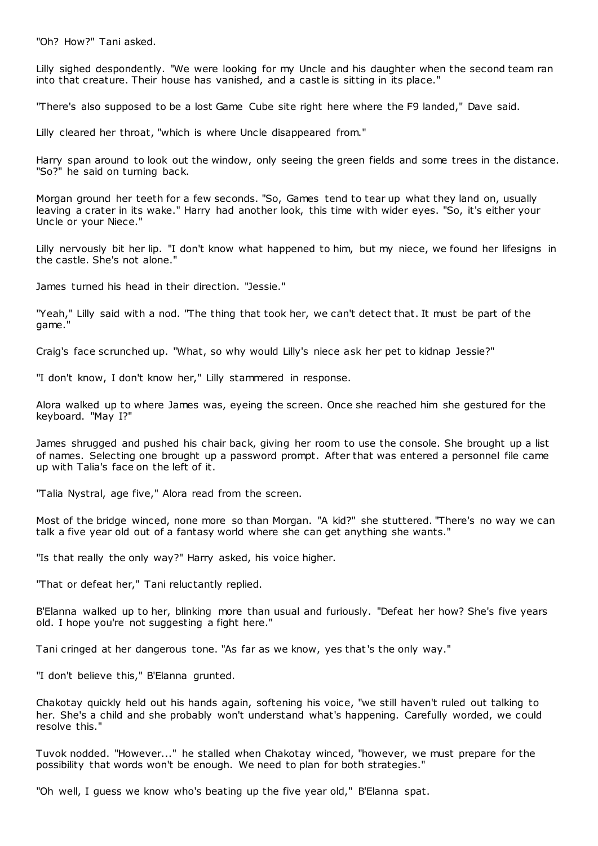"Oh? How?" Tani asked.

Lilly sighed despondently. "We were looking for my Uncle and his daughter when the second team ran into that creature. Their house has vanished, and a castle is sitting in its place."

"There's also supposed to be a lost Game Cube site right here where the F9 landed," Dave said.

Lilly cleared her throat, "which is where Uncle disappeared from."

Harry span around to look out the window, only seeing the green fields and some trees in the distance. "So?" he said on turning back.

Morgan ground her teeth for a few seconds. "So, Games tend to tear up what they land on, usually leaving a crater in its wake." Harry had another look, this time with wider eyes. "So, it's either your Uncle or your Niece."

Lilly nervously bit her lip. "I don't know what happened to him, but my niece, we found her lifesigns in the castle. She's not alone."

James turned his head in their direction. "Jessie."

"Yeah," Lilly said with a nod. "The thing that took her, we can't detect that. It must be part of the game."

Craig's face scrunched up. "What, so why would Lilly's niece ask her pet to kidnap Jessie?"

"I don't know, I don't know her," Lilly stammered in response.

Alora walked up to where James was, eyeing the screen. Once she reached him she gestured for the keyboard. "May I?"

James shrugged and pushed his chair back, giving her room to use the console. She brought up a list of names. Selecting one brought up a password prompt. After that was entered a personnel file came up with Talia's face on the left of it.

"Talia Nystral, age five," Alora read from the screen.

Most of the bridge winced, none more so than Morgan. "A kid?" she stuttered. "There's no way we can talk a five year old out of a fantasy world where she can get anything she wants."

"Is that really the only way?" Harry asked, his voice higher.

"That or defeat her," Tani reluctantly replied.

B'Elanna walked up to her, blinking more than usual and furiously. "Defeat her how? She's five years old. I hope you're not suggesting a fight here."

Tani cringed at her dangerous tone. "As far as we know, yes that's the only way."

"I don't believe this," B'Elanna grunted.

Chakotay quickly held out his hands again, softening his voice, "we still haven't ruled out talking to her. She's a child and she probably won't understand what's happening. Carefully worded, we could resolve this."

Tuvok nodded. "However..." he stalled when Chakotay winced, "however, we must prepare for the possibility that words won't be enough. We need to plan for both strategies."

"Oh well, I guess we know who's beating up the five year old," B'Elanna spat.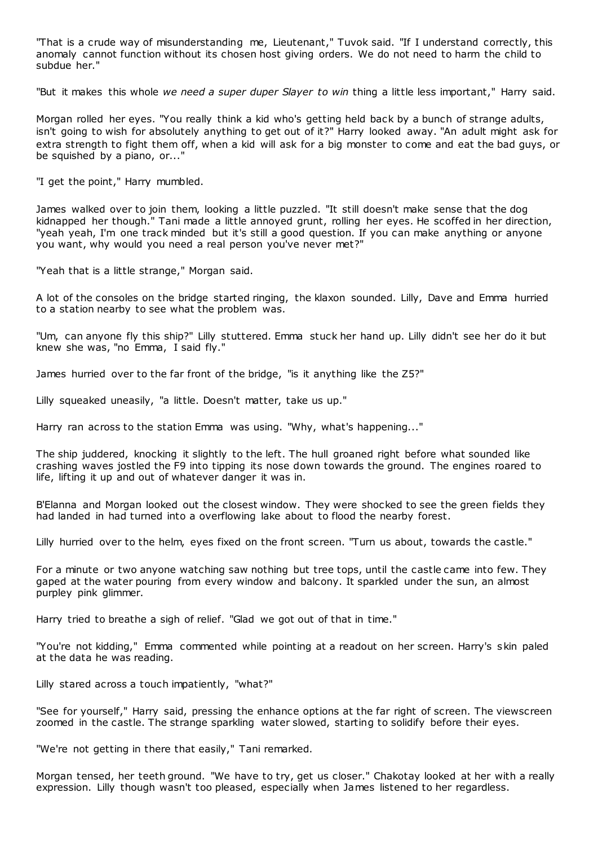"That is a crude way of misunderstanding me, Lieutenant," Tuvok said. "If I understand correctly, this anomaly cannot function without its chosen host giving orders. We do not need to harm the child to subdue her."

"But it makes this whole *we need a super duper Slayer to win* thing a little less important," Harry said.

Morgan rolled her eyes. "You really think a kid who's getting held back by a bunch of strange adults, isn't going to wish for absolutely anything to get out of it?" Harry looked away. "An adult might ask for extra strength to fight them off, when a kid will ask for a big monster to come and eat the bad guys, or be squished by a piano, or..."

"I get the point," Harry mumbled.

James walked over to join them, looking a little puzzled. "It still doesn't make sense that the dog kidnapped her though." Tani made a little annoyed grunt, rolling her eyes. He scoffed in her direction, "yeah yeah, I'm one track minded but it's still a good question. If you can make anything or anyone you want, why would you need a real person you've never met?"

"Yeah that is a little strange," Morgan said.

A lot of the consoles on the bridge started ringing, the klaxon sounded. Lilly, Dave and Emma hurried to a station nearby to see what the problem was.

"Um, can anyone fly this ship?" Lilly stuttered. Emma stuck her hand up. Lilly didn't see her do it but knew she was, "no Emma, I said fly."

James hurried over to the far front of the bridge, "is it anything like the Z5?"

Lilly squeaked uneasily, "a little. Doesn't matter, take us up."

Harry ran across to the station Emma was using. "Why, what's happening..."

The ship juddered, knocking it slightly to the left. The hull groaned right before what sounded like crashing waves jostled the F9 into tipping its nose down towards the ground. The engines roared to life, lifting it up and out of whatever danger it was in.

B'Elanna and Morgan looked out the closest window. They were shocked to see the green fields they had landed in had turned into a overflowing lake about to flood the nearby forest.

Lilly hurried over to the helm, eyes fixed on the front screen. "Turn us about, towards the castle."

For a minute or two anyone watching saw nothing but tree tops, until the castle came into few. They gaped at the water pouring from every window and balcony. It sparkled under the sun, an almost purpley pink glimmer.

Harry tried to breathe a sigh of relief. "Glad we got out of that in time."

"You're not kidding," Emma commented while pointing at a readout on her screen. Harry's skin paled at the data he was reading.

Lilly stared across a touch impatiently, "what?"

"See for yourself," Harry said, pressing the enhance options at the far right of screen. The viewscreen zoomed in the castle. The strange sparkling water slowed, starting to solidify before their eyes.

"We're not getting in there that easily," Tani remarked.

Morgan tensed, her teeth ground. "We have to try, get us closer." Chakotay looked at her with a really expression. Lilly though wasn't too pleased, especially when James listened to her regardless.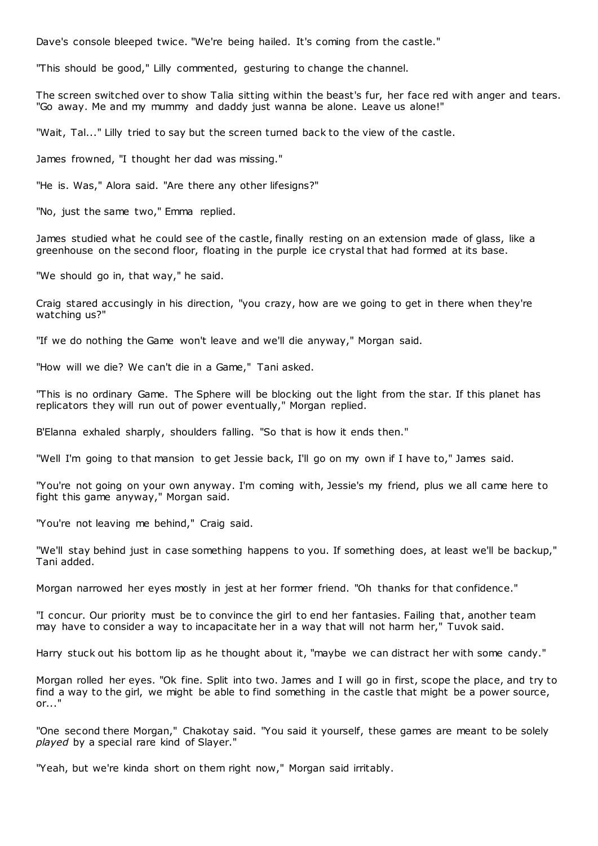Dave's console bleeped twice. "We're being hailed. It's coming from the castle."

"This should be good," Lilly commented, gesturing to change the channel.

The screen switched over to show Talia sitting within the beast's fur, her face red with anger and tears. "Go away. Me and my mummy and daddy just wanna be alone. Leave us alone!"

"Wait, Tal..." Lilly tried to say but the screen turned back to the view of the castle.

James frowned, "I thought her dad was missing."

"He is. Was," Alora said. "Are there any other lifesigns?"

"No, just the same two," Emma replied.

James studied what he could see of the castle, finally resting on an extension made of glass, like a greenhouse on the second floor, floating in the purple ice crystal that had formed at its base.

"We should go in, that way," he said.

Craig stared accusingly in his direction, "you crazy, how are we going to get in there when they're watching us?"

"If we do nothing the Game won't leave and we'll die anyway," Morgan said.

"How will we die? We can't die in a Game," Tani asked.

"This is no ordinary Game. The Sphere will be blocking out the light from the star. If this planet has replicators they will run out of power eventually," Morgan replied.

B'Elanna exhaled sharply, shoulders falling. "So that is how it ends then."

"Well I'm going to that mansion to get Jessie back, I'll go on my own if I have to," James said.

"You're not going on your own anyway. I'm coming with, Jessie's my friend, plus we all came here to fight this game anyway," Morgan said.

"You're not leaving me behind," Craig said.

"We'll stay behind just in case something happens to you. If something does, at least we'll be backup," Tani added.

Morgan narrowed her eyes mostly in jest at her former friend. "Oh thanks for that confidence."

"I concur. Our priority must be to convince the girl to end her fantasies. Failing that, another team may have to consider a way to incapacitate her in a way that will not harm her," Tuvok said.

Harry stuck out his bottom lip as he thought about it, "maybe we can distract her with some candy."

Morgan rolled her eyes. "Ok fine. Split into two. James and I will go in first, scope the place, and try to find a way to the girl, we might be able to find something in the castle that might be a power source, or..."

"One second there Morgan," Chakotay said. "You said it yourself, these games are meant to be solely *played* by a special rare kind of Slayer."

"Yeah, but we're kinda short on them right now," Morgan said irritably.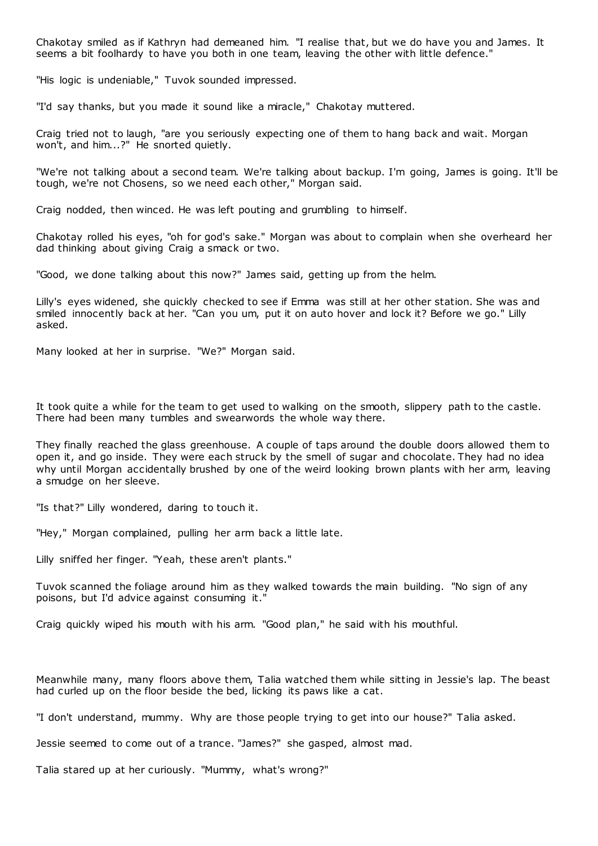Chakotay smiled as if Kathryn had demeaned him. "I realise that, but we do have you and James. It seems a bit foolhardy to have you both in one team, leaving the other with little defence."

"His logic is undeniable," Tuvok sounded impressed.

"I'd say thanks, but you made it sound like a miracle," Chakotay muttered.

Craig tried not to laugh, "are you seriously expecting one of them to hang back and wait. Morgan won't, and him...?" He snorted quietly.

"We're not talking about a second team. We're talking about backup. I'm going, James is going. It'll be tough, we're not Chosens, so we need each other," Morgan said.

Craig nodded, then winced. He was left pouting and grumbling to himself.

Chakotay rolled his eyes, "oh for god's sake." Morgan was about to complain when she overheard her dad thinking about giving Craig a smack or two.

"Good, we done talking about this now?" James said, getting up from the helm.

Lilly's eyes widened, she quickly checked to see if Emma was still at her other station. She was and smiled innocently back at her. "Can you um, put it on auto hover and lock it? Before we go." Lilly asked.

Many looked at her in surprise. "We?" Morgan said.

It took quite a while for the team to get used to walking on the smooth, slippery path to the castle. There had been many tumbles and swearwords the whole way there.

They finally reached the glass greenhouse. A couple of taps around the double doors allowed them to open it, and go inside. They were each struck by the smell of sugar and chocolate. They had no idea why until Morgan accidentally brushed by one of the weird looking brown plants with her arm, leaving a smudge on her sleeve.

"Is that?" Lilly wondered, daring to touch it.

"Hey," Morgan complained, pulling her arm back a little late.

Lilly sniffed her finger. "Yeah, these aren't plants."

Tuvok scanned the foliage around him as they walked towards the main building. "No sign of any poisons, but I'd advice against consuming it."

Craig quickly wiped his mouth with his arm. "Good plan," he said with his mouthful.

Meanwhile many, many floors above them, Talia watched them while sitting in Jessie's lap. The beast had curled up on the floor beside the bed, licking its paws like a cat.

"I don't understand, mummy. Why are those people trying to get into our house?" Talia asked.

Jessie seemed to come out of a trance. "James?" she gasped, almost mad.

Talia stared up at her curiously. "Mummy, what's wrong?"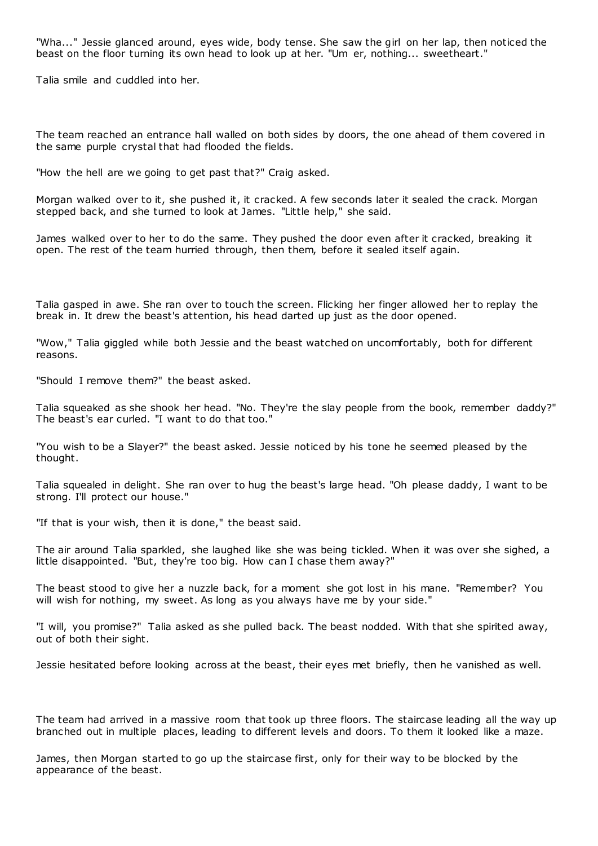"Wha..." Jessie glanced around, eyes wide, body tense. She saw the girl on her lap, then noticed the beast on the floor turning its own head to look up at her. "Um er, nothing... sweetheart."

Talia smile and cuddled into her.

The team reached an entrance hall walled on both sides by doors, the one ahead of them covered in the same purple crystal that had flooded the fields.

"How the hell are we going to get past that?" Craig asked.

Morgan walked over to it, she pushed it, it cracked. A few seconds later it sealed the crack. Morgan stepped back, and she turned to look at James. "Little help," she said.

James walked over to her to do the same. They pushed the door even after it cracked, breaking it open. The rest of the team hurried through, then them, before it sealed itself again.

Talia gasped in awe. She ran over to touch the screen. Flicking her finger allowed her to replay the break in. It drew the beast's attention, his head darted up just as the door opened.

"Wow," Talia giggled while both Jessie and the beast watched on uncomfortably, both for different reasons.

"Should I remove them?" the beast asked.

Talia squeaked as she shook her head. "No. They're the slay people from the book, remember daddy?" The beast's ear curled. "I want to do that too."

"You wish to be a Slayer?" the beast asked. Jessie noticed by his tone he seemed pleased by the thought.

Talia squealed in delight. She ran over to hug the beast's large head. "Oh please daddy, I want to be strong. I'll protect our house."

"If that is your wish, then it is done," the beast said.

The air around Talia sparkled, she laughed like she was being tickled. When it was over she sighed, a little disappointed. "But, they're too big. How can I chase them away?"

The beast stood to give her a nuzzle back, for a moment she got lost in his mane. "Remember? You will wish for nothing, my sweet. As long as you always have me by your side."

"I will, you promise?" Talia asked as she pulled back. The beast nodded. With that she spirited away, out of both their sight.

Jessie hesitated before looking across at the beast, their eyes met briefly, then he vanished as well.

The team had arrived in a massive room that took up three floors. The staircase leading all the way up branched out in multiple places, leading to different levels and doors. To them it looked like a maze.

James, then Morgan started to go up the staircase first, only for their way to be blocked by the appearance of the beast.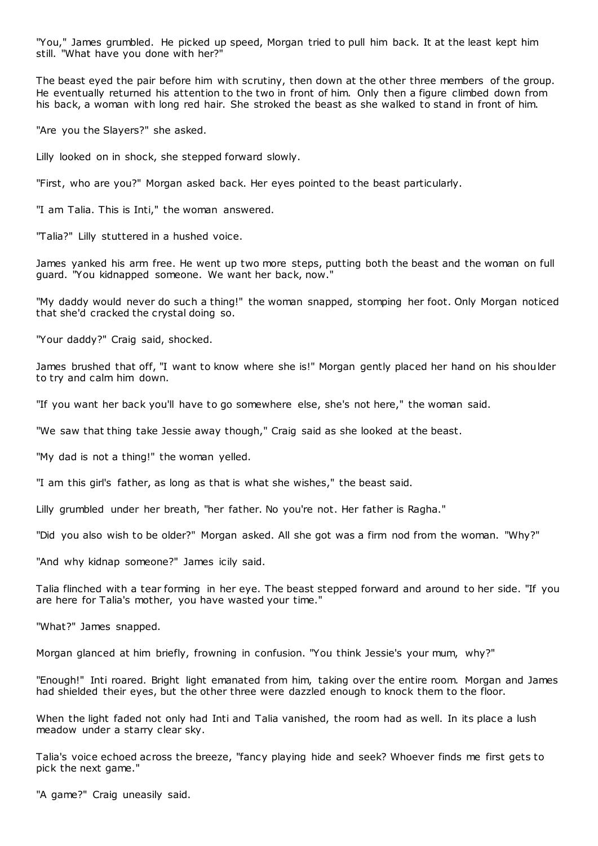"You," James grumbled. He picked up speed, Morgan tried to pull him back. It at the least kept him still. "What have you done with her?"

The beast eyed the pair before him with scrutiny, then down at the other three members of the group. He eventually returned his attention to the two in front of him. Only then a figure climbed down from his back, a woman with long red hair. She stroked the beast as she walked to stand in front of him.

"Are you the Slayers?" she asked.

Lilly looked on in shock, she stepped forward slowly.

"First, who are you?" Morgan asked back. Her eyes pointed to the beast particularly.

"I am Talia. This is Inti," the woman answered.

"Talia?" Lilly stuttered in a hushed voice.

James yanked his arm free. He went up two more steps, putting both the beast and the woman on full guard. "You kidnapped someone. We want her back, now."

"My daddy would never do such a thing!" the woman snapped, stomping her foot. Only Morgan noticed that she'd cracked the crystal doing so.

"Your daddy?" Craig said, shocked.

James brushed that off, "I want to know where she is!" Morgan gently placed her hand on his shoulder to try and calm him down.

"If you want her back you'll have to go somewhere else, she's not here," the woman said.

"We saw that thing take Jessie away though," Craig said as she looked at the beast.

"My dad is not a thing!" the woman yelled.

"I am this girl's father, as long as that is what she wishes," the beast said.

Lilly grumbled under her breath, "her father. No you're not. Her father is Ragha."

"Did you also wish to be older?" Morgan asked. All she got was a firm nod from the woman. "Why?"

"And why kidnap someone?" James icily said.

Talia flinched with a tear forming in her eye. The beast stepped forward and around to her side. "If you are here for Talia's mother, you have wasted your time."

"What?" James snapped.

Morgan glanced at him briefly, frowning in confusion. "You think Jessie's your mum, why?"

"Enough!" Inti roared. Bright light emanated from him, taking over the entire room. Morgan and James had shielded their eyes, but the other three were dazzled enough to knock them to the floor.

When the light faded not only had Inti and Talia vanished, the room had as well. In its place a lush meadow under a starry clear sky.

Talia's voice echoed across the breeze, "fancy playing hide and seek? Whoever finds me first gets to pick the next game."

"A game?" Craig uneasily said.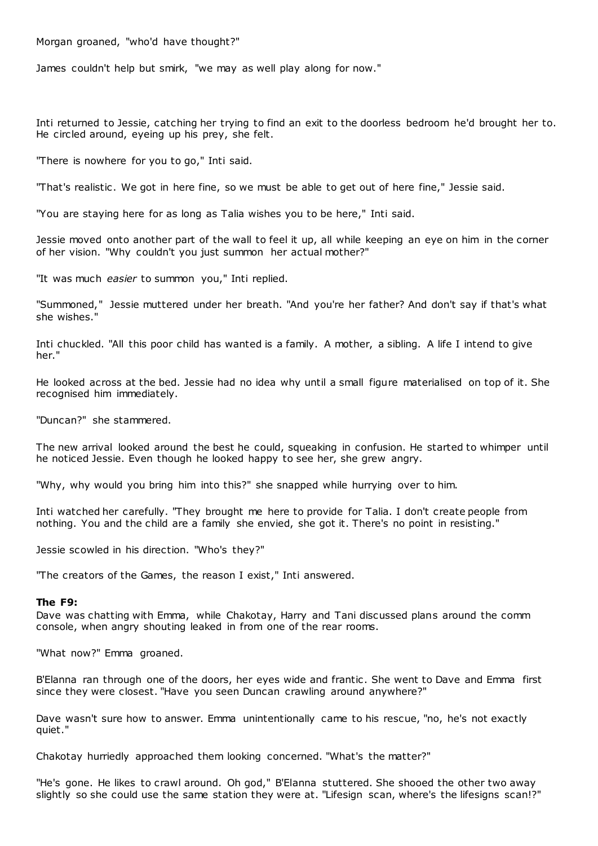Morgan groaned, "who'd have thought?"

James couldn't help but smirk, "we may as well play along for now."

Inti returned to Jessie, catching her trying to find an exit to the doorless bedroom he'd brought her to. He circled around, eyeing up his prey, she felt.

"There is nowhere for you to go," Inti said.

"That's realistic . We got in here fine, so we must be able to get out of here fine," Jessie said.

"You are staying here for as long as Talia wishes you to be here," Inti said.

Jessie moved onto another part of the wall to feel it up, all while keeping an eye on him in the corner of her vision. "Why couldn't you just summon her actual mother?"

"It was much *easier* to summon you," Inti replied.

"Summoned," Jessie muttered under her breath. "And you're her father? And don't say if that's what she wishes."

Inti chuckled. "All this poor child has wanted is a family. A mother, a sibling. A life I intend to give her."

He looked across at the bed. Jessie had no idea why until a small figure materialised on top of it. She recognised him immediately.

"Duncan?" she stammered.

The new arrival looked around the best he could, squeaking in confusion. He started to whimper until he noticed Jessie. Even though he looked happy to see her, she grew angry.

"Why, why would you bring him into this?" she snapped while hurrying over to him.

Inti watched her carefully. "They brought me here to provide for Talia. I don't create people from nothing. You and the child are a family she envied, she got it. There's no point in resisting."

Jessie scowled in his direction. "Who's they?"

"The creators of the Games, the reason I exist," Inti answered.

# **The F9:**

Dave was chatting with Emma, while Chakotay, Harry and Tani discussed plans around the comm console, when angry shouting leaked in from one of the rear rooms.

"What now?" Emma groaned.

B'Elanna ran through one of the doors, her eyes wide and frantic . She went to Dave and Emma first since they were closest. "Have you seen Duncan crawling around anywhere?"

Dave wasn't sure how to answer. Emma unintentionally came to his rescue, "no, he's not exactly quiet."

Chakotay hurriedly approached them looking concerned. "What's the matter?"

"He's gone. He likes to crawl around. Oh god," B'Elanna stuttered. She shooed the other two away slightly so she could use the same station they were at. "Lifesign scan, where's the lifesigns scan!?"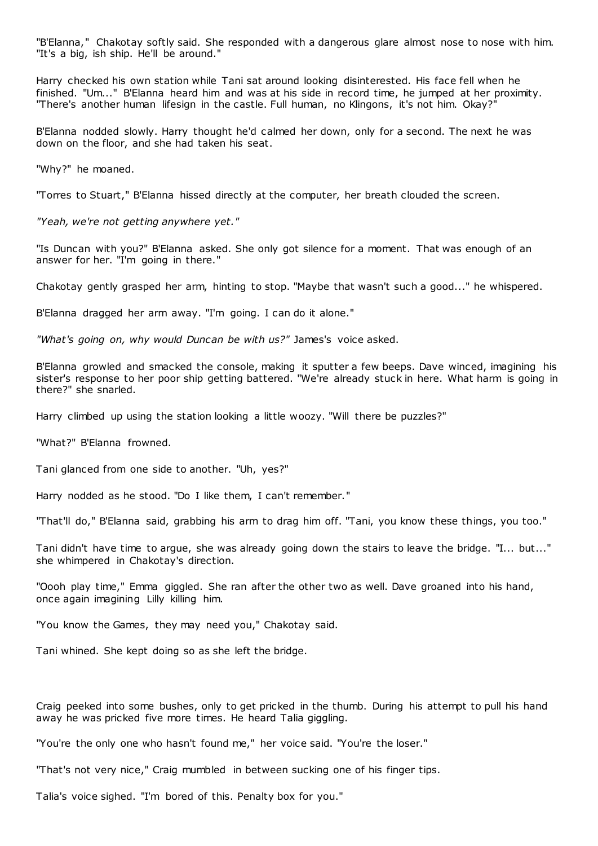"B'Elanna," Chakotay softly said. She responded with a dangerous glare almost nose to nose with him. "It's a big, ish ship. He'll be around."

Harry checked his own station while Tani sat around looking disinterested. His face fell when he finished. "Um..." B'Elanna heard him and was at his side in record time, he jumped at her proximity. "There's another human lifesign in the castle. Full human, no Klingons, it's not him. Okay?"

B'Elanna nodded slowly. Harry thought he'd calmed her down, only for a second. The next he was down on the floor, and she had taken his seat.

"Why?" he moaned.

"Torres to Stuart," B'Elanna hissed directly at the computer, her breath clouded the screen.

*"Yeah, we're not getting anywhere yet."*

"Is Duncan with you?" B'Elanna asked. She only got silence for a moment. That was enough of an answer for her. "I'm going in there."

Chakotay gently grasped her arm, hinting to stop. "Maybe that wasn't such a good..." he whispered.

B'Elanna dragged her arm away. "I'm going. I can do it alone."

*"What's going on, why would Duncan be with us?"* James's voice asked.

B'Elanna growled and smacked the console, making it sputter a few beeps. Dave winced, imagining his sister's response to her poor ship getting battered. "We're already stuck in here. What harm is going in there?" she snarled.

Harry climbed up using the station looking a little woozy. "Will there be puzzles?"

"What?" B'Elanna frowned.

Tani glanced from one side to another. "Uh, yes?"

Harry nodded as he stood. "Do I like them, I can't remember."

"That'll do," B'Elanna said, grabbing his arm to drag him off. "Tani, you know these things, you too."

Tani didn't have time to argue, she was already going down the stairs to leave the bridge. "I... but..." she whimpered in Chakotay's direction.

"Oooh play time," Emma giggled. She ran after the other two as well. Dave groaned into his hand, once again imagining Lilly killing him.

"You know the Games, they may need you," Chakotay said.

Tani whined. She kept doing so as she left the bridge.

Craig peeked into some bushes, only to get pricked in the thumb. During his attempt to pull his hand away he was pricked five more times. He heard Talia giggling.

"You're the only one who hasn't found me," her voice said. "You're the loser."

"That's not very nice," Craig mumbled in between sucking one of his finger tips.

Talia's voice sighed. "I'm bored of this. Penalty box for you."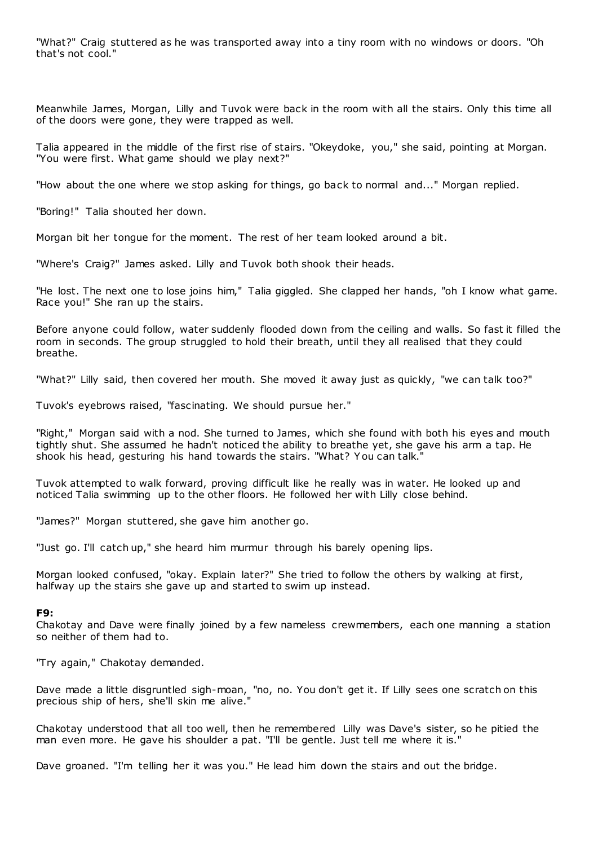"What?" Craig stuttered as he was transported away into a tiny room with no windows or doors. "Oh that's not cool."

Meanwhile James, Morgan, Lilly and Tuvok were back in the room with all the stairs. Only this time all of the doors were gone, they were trapped as well.

Talia appeared in the middle of the first rise of stairs. "Okeydoke, you," she said, pointing at Morgan. "You were first. What game should we play next?"

"How about the one where we stop asking for things, go back to normal and..." Morgan replied.

"Boring!" Talia shouted her down.

Morgan bit her tongue for the moment. The rest of her team looked around a bit.

"Where's Craig?" James asked. Lilly and Tuvok both shook their heads.

"He lost. The next one to lose joins him," Talia giggled. She clapped her hands, "oh I know what game. Race you!" She ran up the stairs.

Before anyone could follow, water suddenly flooded down from the ceiling and walls. So fast it filled the room in seconds. The group struggled to hold their breath, until they all realised that they could breathe.

"What?" Lilly said, then covered her mouth. She moved it away just as quickly, "we can talk too?"

Tuvok's eyebrows raised, "fascinating. We should pursue her."

"Right," Morgan said with a nod. She turned to James, which she found with both his eyes and mouth tightly shut. She assumed he hadn't noticed the ability to breathe yet, she gave his arm a tap. He shook his head, gesturing his hand towards the stairs. "What? Y ou can talk."

Tuvok attempted to walk forward, proving difficult like he really was in water. He looked up and noticed Talia swimming up to the other floors. He followed her with Lilly close behind.

"James?" Morgan stuttered, she gave him another go.

"Just go. I'll catch up," she heard him murmur through his barely opening lips.

Morgan looked confused, "okay. Explain later?" She tried to follow the others by walking at first, halfway up the stairs she gave up and started to swim up instead.

# **F9:**

Chakotay and Dave were finally joined by a few nameless crewmembers, each one manning a station so neither of them had to.

"Try again," Chakotay demanded.

Dave made a little disgruntled sigh-moan, "no, no. You don't get it. If Lilly sees one scratch on this precious ship of hers, she'll skin me alive."

Chakotay understood that all too well, then he remembered Lilly was Dave's sister, so he pitied the man even more. He gave his shoulder a pat. "I'll be gentle. Just tell me where it is."

Dave groaned. "I'm telling her it was you." He lead him down the stairs and out the bridge.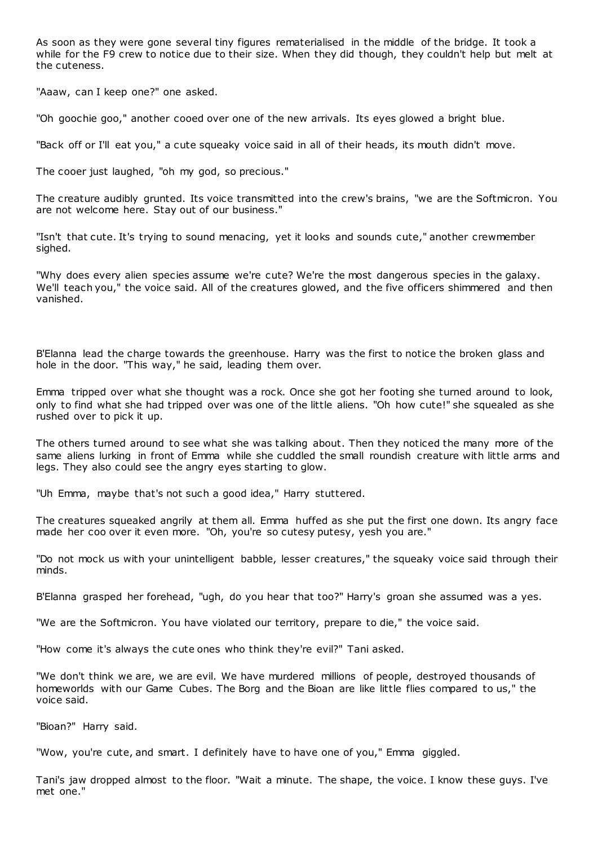As soon as they were gone several tiny figures rematerialised in the middle of the bridge. It took a while for the F9 crew to notice due to their size. When they did though, they couldn't help but melt at the cuteness.

"Aaaw, can I keep one?" one asked.

"Oh goochie goo," another cooed over one of the new arrivals. Its eyes glowed a bright blue.

"Back off or I'll eat you," a cute squeaky voice said in all of their heads, its mouth didn't move.

The cooer just laughed, "oh my god, so precious."

The creature audibly grunted. Its voice transmitted into the crew's brains, "we are the Softmicron. You are not welcome here. Stay out of our business."

"Isn't that cute. It's trying to sound menacing, yet it looks and sounds cute," another crewmember sighed.

"Why does every alien species assume we're cute? We're the most dangerous species in the galaxy. We'll teach you," the voice said. All of the creatures glowed, and the five officers shimmered and then vanished.

B'Elanna lead the charge towards the greenhouse. Harry was the first to notice the broken glass and hole in the door. "This way," he said, leading them over.

Emma tripped over what she thought was a rock. Once she got her footing she turned around to look, only to find what she had tripped over was one of the little aliens. "Oh how cute!" she squealed as she rushed over to pick it up.

The others turned around to see what she was talking about. Then they noticed the many more of the same aliens lurking in front of Emma while she cuddled the small roundish creature with little arms and legs. They also could see the angry eyes starting to glow.

"Uh Emma, maybe that's not such a good idea," Harry stuttered.

The creatures squeaked angrily at them all. Emma huffed as she put the first one down. Its angry face made her coo over it even more. "Oh, you're so cutesy putesy, yesh you are."

"Do not mock us with your unintelligent babble, lesser creatures," the squeaky voice said through their minds.

B'Elanna grasped her forehead, "ugh, do you hear that too?" Harry's groan she assumed was a yes.

"We are the Softmicron. You have violated our territory, prepare to die," the voice said.

"How come it's always the cute ones who think they're evil?" Tani asked.

"We don't think we are, we are evil. We have murdered millions of people, destroyed thousands of homeworlds with our Game Cubes. The Borg and the Bioan are like little flies compared to us," the voice said.

"Bioan?" Harry said.

"Wow, you're cute, and smart. I definitely have to have one of you," Emma giggled.

Tani's jaw dropped almost to the floor. "Wait a minute. The shape, the voice. I know these guys. I've met one."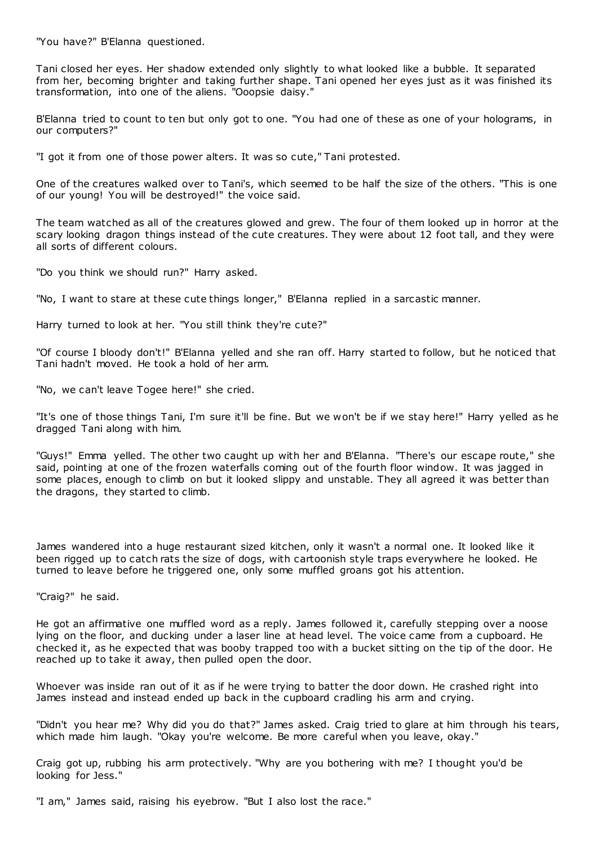"You have?" B'Elanna questioned.

Tani closed her eyes. Her shadow extended only slightly to what looked like a bubble. It separated from her, becoming brighter and taking further shape. Tani opened her eyes just as it was finished its transformation, into one of the aliens. "Ooopsie daisy."

B'Elanna tried to count to ten but only got to one. "You had one of these as one of your holograms, in our computers?"

"I got it from one of those power alters. It was so cute," Tani protested.

One of the creatures walked over to Tani's, which seemed to be half the size of the others. "This is one of our young! You will be destroyed!" the voice said.

The team watched as all of the creatures glowed and grew. The four of them looked up in horror at the scary looking dragon things instead of the cute creatures. They were about 12 foot tall, and they were all sorts of different colours.

"Do you think we should run?" Harry asked.

"No, I want to stare at these cute things longer," B'Elanna replied in a sarcastic manner.

Harry turned to look at her. "You still think they're cute?"

"Of course I bloody don't!" B'Elanna yelled and she ran off. Harry started to follow, but he noticed that Tani hadn't moved. He took a hold of her arm.

"No, we can't leave Togee here!" she cried.

"It's one of those things Tani, I'm sure it'll be fine. But we won't be if we stay here!" Harry yelled as he dragged Tani along with him.

"Guys!" Emma yelled. The other two caught up with her and B'Elanna. "There's our escape route," she said, pointing at one of the frozen waterfalls coming out of the fourth floor window. It was jagged in some places, enough to climb on but it looked slippy and unstable. They all agreed it was better than the dragons, they started to climb.

James wandered into a huge restaurant sized kitchen, only it wasn't a normal one. It looked like it been rigged up to catch rats the size of dogs, with cartoonish style traps everywhere he looked. He turned to leave before he triggered one, only some muffled groans got his attention.

"Craig?" he said.

He got an affirmative one muffled word as a reply. James followed it, carefully stepping over a noose lying on the floor, and ducking under a laser line at head level. The voice came from a cupboard. He checked it, as he expected that was booby trapped too with a bucket sitting on the tip of the door. He reached up to take it away, then pulled open the door.

Whoever was inside ran out of it as if he were trying to batter the door down. He crashed right into James instead and instead ended up back in the cupboard cradling his arm and crying.

"Didn't you hear me? Why did you do that?" James asked. Craig tried to glare at him through his tears, which made him laugh. "Okay you're welcome. Be more careful when you leave, okay."

Craig got up, rubbing his arm protectively. "Why are you bothering with me? I thought you'd be looking for Jess."

"I am," James said, raising his eyebrow. "But I also lost the race."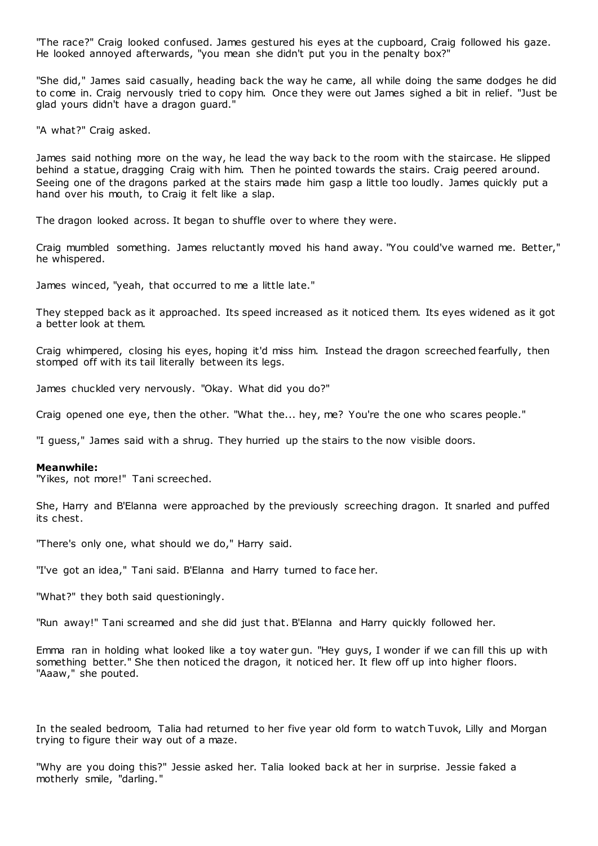"The race?" Craig looked confused. James gestured his eyes at the cupboard, Craig followed his gaze. He looked annoyed afterwards, "you mean she didn't put you in the penalty box?"

"She did," James said casually, heading back the way he came, all while doing the same dodges he did to come in. Craig nervously tried to copy him. Once they were out James sighed a bit in relief. "Just be glad yours didn't have a dragon guard."

"A what?" Craig asked.

James said nothing more on the way, he lead the way back to the room with the staircase. He slipped behind a statue, dragging Craig with him. Then he pointed towards the stairs. Craig peered around. Seeing one of the dragons parked at the stairs made him gasp a little too loudly. James quickly put a hand over his mouth, to Craig it felt like a slap.

The dragon looked across. It began to shuffle over to where they were.

Craig mumbled something. James reluctantly moved his hand away. "You could've warned me. Better," he whispered.

James winced, "yeah, that occurred to me a little late."

They stepped back as it approached. Its speed increased as it noticed them. Its eyes widened as it got a better look at them.

Craig whimpered, closing his eyes, hoping it'd miss him. Instead the dragon screeched fearfully, then stomped off with its tail literally between its legs.

James chuckled very nervously. "Okay. What did you do?"

Craig opened one eye, then the other. "What the... hey, me? You're the one who scares people."

"I guess," James said with a shrug. They hurried up the stairs to the now visible doors.

# **Meanwhile:**

"Yikes, not more!" Tani screeched.

She, Harry and B'Elanna were approached by the previously screeching dragon. It snarled and puffed its chest.

"There's only one, what should we do," Harry said.

"I've got an idea," Tani said. B'Elanna and Harry turned to face her.

"What?" they both said questioningly.

"Run away!" Tani screamed and she did just that. B'Elanna and Harry quickly followed her.

Emma ran in holding what looked like a toy water gun. "Hey guys, I wonder if we can fill this up with something better." She then noticed the dragon, it noticed her. It flew off up into higher floors. "Aaaw," she pouted.

In the sealed bedroom, Talia had returned to her five year old form to watch Tuvok, Lilly and Morgan trying to figure their way out of a maze.

"Why are you doing this?" Jessie asked her. Talia looked back at her in surprise. Jessie faked a motherly smile, "darling."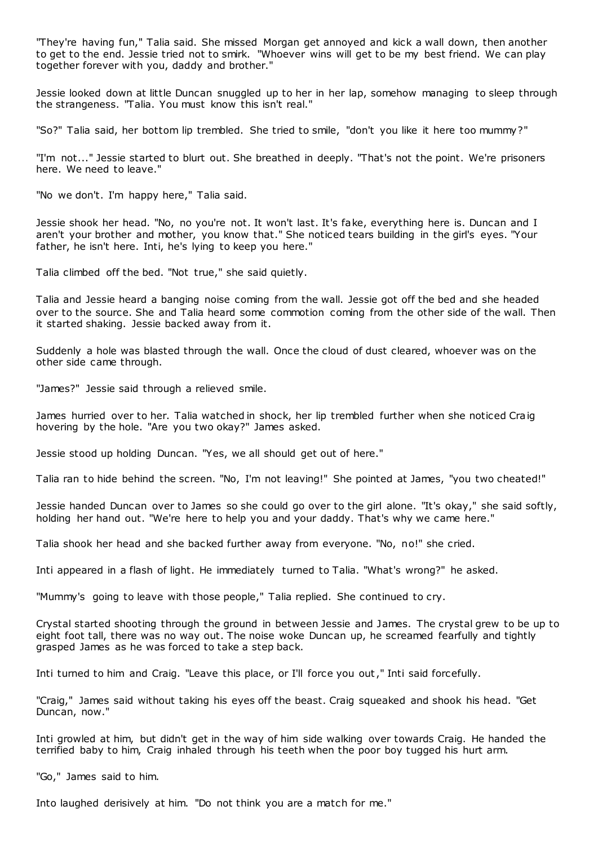"They're having fun," Talia said. She missed Morgan get annoyed and kick a wall down, then another to get to the end. Jessie tried not to smirk. "Whoever wins will get to be my best friend. We can play together forever with you, daddy and brother."

Jessie looked down at little Duncan snuggled up to her in her lap, somehow managing to sleep through the strangeness. "Talia. You must know this isn't real."

"So?" Talia said, her bottom lip trembled. She tried to smile, "don't you like it here too mummy?"

"I'm not..." Jessie started to blurt out. She breathed in deeply. "That's not the point. We're prisoners here. We need to leave."

"No we don't. I'm happy here," Talia said.

Jessie shook her head. "No, no you're not. It won't last. It's fake, everything here is. Duncan and I aren't your brother and mother, you know that." She noticed tears building in the girl's eyes. "Your father, he isn't here. Inti, he's lying to keep you here."

Talia climbed off the bed. "Not true," she said quietly.

Talia and Jessie heard a banging noise coming from the wall. Jessie got off the bed and she headed over to the source. She and Talia heard some commotion coming from the other side of the wall. Then it started shaking. Jessie backed away from it.

Suddenly a hole was blasted through the wall. Once the cloud of dust cleared, whoever was on the other side came through.

"James?" Jessie said through a relieved smile.

James hurried over to her. Talia watched in shock, her lip trembled further when she noticed Craig hovering by the hole. "Are you two okay?" James asked.

Jessie stood up holding Duncan. "Yes, we all should get out of here."

Talia ran to hide behind the screen. "No, I'm not leaving!" She pointed at James, "you two cheated!"

Jessie handed Duncan over to James so she could go over to the girl alone. "It's okay," she said softly, holding her hand out. "We're here to help you and your daddy. That's why we came here."

Talia shook her head and she backed further away from everyone. "No, no!" she cried.

Inti appeared in a flash of light. He immediately turned to Talia. "What's wrong?" he asked.

"Mummy's going to leave with those people," Talia replied. She continued to cry.

Crystal started shooting through the ground in between Jessie and James. The crystal grew to be up to eight foot tall, there was no way out. The noise woke Duncan up, he screamed fearfully and tightly grasped James as he was forced to take a step back.

Inti turned to him and Craig. "Leave this place, or I'll force you out," Inti said forcefully.

"Craig," James said without taking his eyes off the beast. Craig squeaked and shook his head. "Get Duncan, now."

Inti growled at him, but didn't get in the way of him side walking over towards Craig. He handed the terrified baby to him, Craig inhaled through his teeth when the poor boy tugged his hurt arm.

"Go," James said to him.

Into laughed derisively at him. "Do not think you are a match for me."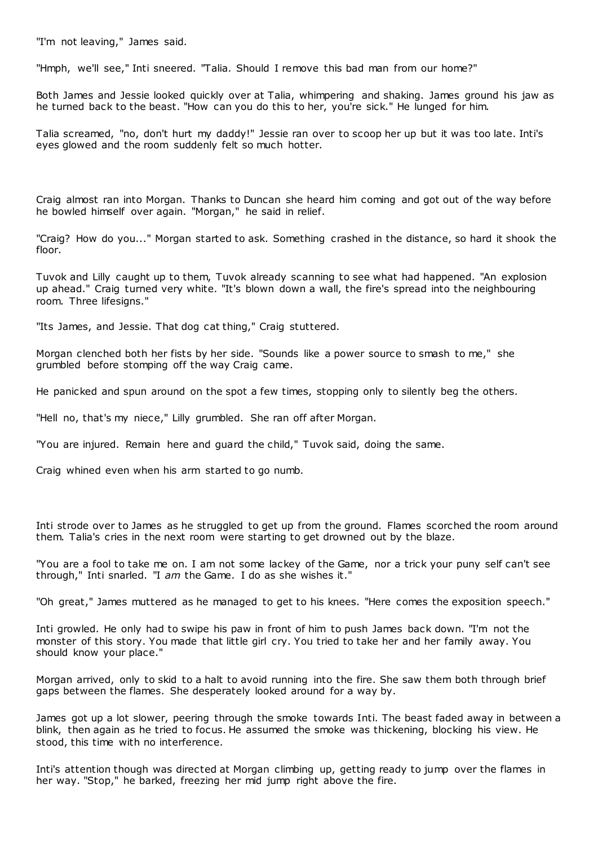"I'm not leaving," James said.

"Hmph, we'll see," Inti sneered. "Talia. Should I remove this bad man from our home?"

Both James and Jessie looked quickly over at Talia, whimpering and shaking. James ground his jaw as he turned back to the beast. "How can you do this to her, you're sick." He lunged for him.

Talia screamed, "no, don't hurt my daddy!" Jessie ran over to scoop her up but it was too late. Inti's eyes glowed and the room suddenly felt so much hotter.

Craig almost ran into Morgan. Thanks to Duncan she heard him coming and got out of the way before he bowled himself over again. "Morgan," he said in relief.

"Craig? How do you..." Morgan started to ask. Something crashed in the distance, so hard it shook the floor.

Tuvok and Lilly caught up to them, Tuvok already scanning to see what had happened. "An explosion up ahead." Craig turned very white. "It's blown down a wall, the fire's spread into the neighbouring room. Three lifesigns."

"Its James, and Jessie. That dog cat thing," Craig stuttered.

Morgan clenched both her fists by her side. "Sounds like a power source to smash to me," she grumbled before stomping off the way Craig came.

He panicked and spun around on the spot a few times, stopping only to silently beg the others.

"Hell no, that's my niece," Lilly grumbled. She ran off after Morgan.

"You are injured. Remain here and guard the child," Tuvok said, doing the same.

Craig whined even when his arm started to go numb.

Inti strode over to James as he struggled to get up from the ground. Flames scorched the room around them. Talia's cries in the next room were starting to get drowned out by the blaze.

"You are a fool to take me on. I am not some lackey of the Game, nor a trick your puny self can't see through," Inti snarled. "I *am* the Game. I do as she wishes it."

"Oh great," James muttered as he managed to get to his knees. "Here comes the exposition speech."

Inti growled. He only had to swipe his paw in front of him to push James back down. "I'm not the monster of this story. You made that little girl cry. You tried to take her and her family away. You should know your place."

Morgan arrived, only to skid to a halt to avoid running into the fire. She saw them both through brief gaps between the flames. She desperately looked around for a way by.

James got up a lot slower, peering through the smoke towards Inti. The beast faded away in between a blink, then again as he tried to focus. He assumed the smoke was thickening, blocking his view. He stood, this time with no interference.

Inti's attention though was directed at Morgan climbing up, getting ready to jump over the flames in her way. "Stop," he barked, freezing her mid jump right above the fire.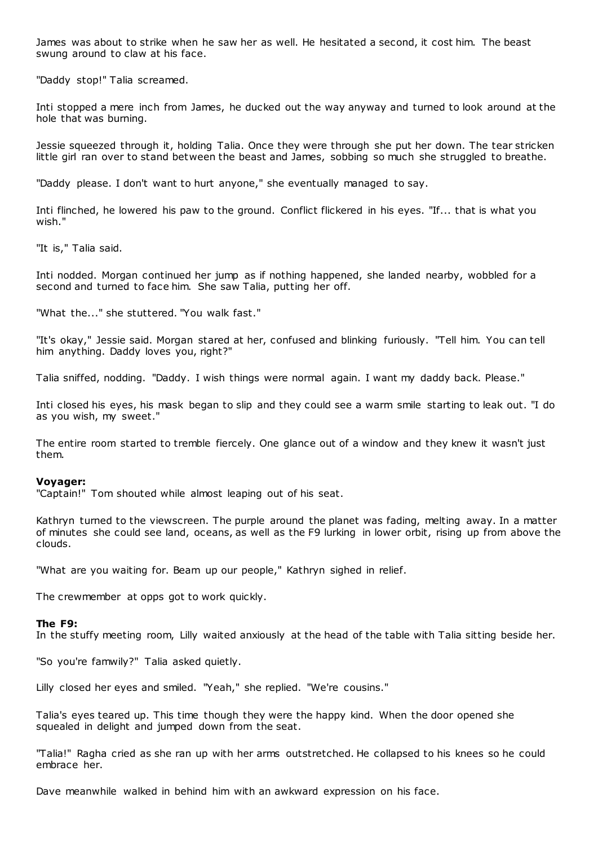James was about to strike when he saw her as well. He hesitated a second, it cost him. The beast swung around to claw at his face.

"Daddy stop!" Talia screamed.

Inti stopped a mere inch from James, he ducked out the way anyway and turned to look around at the hole that was burning.

Jessie squeezed through it, holding Talia. Once they were through she put her down. The tear stricken little girl ran over to stand between the beast and James, sobbing so much she struggled to breathe.

"Daddy please. I don't want to hurt anyone," she eventually managed to say.

Inti flinched, he lowered his paw to the ground. Conflict flickered in his eyes. "If... that is what you wish."

"It is," Talia said.

Inti nodded. Morgan continued her jump as if nothing happened, she landed nearby, wobbled for a second and turned to face him. She saw Talia, putting her off.

"What the..." she stuttered. "You walk fast."

"It's okay," Jessie said. Morgan stared at her, confused and blinking furiously. "Tell him. You can tell him anything. Daddy loves you, right?"

Talia sniffed, nodding. "Daddy. I wish things were normal again. I want my daddy back. Please."

Inti closed his eyes, his mask began to slip and they could see a warm smile starting to leak out. "I do as you wish, my sweet."

The entire room started to tremble fiercely. One glance out of a window and they knew it wasn't just them.

# **Voyager:**

"Captain!" Tom shouted while almost leaping out of his seat.

Kathryn turned to the viewscreen. The purple around the planet was fading, melting away. In a matter of minutes she could see land, oceans, as well as the F9 lurking in lower orbit, rising up from above the clouds.

"What are you waiting for. Beam up our people," Kathryn sighed in relief.

The crewmember at opps got to work quickly.

# **The F9:**

In the stuffy meeting room, Lilly waited anxiously at the head of the table with Talia sitting beside her.

"So you're famwily?" Talia asked quietly.

Lilly closed her eyes and smiled. "Yeah," she replied. "We're cousins."

Talia's eyes teared up. This time though they were the happy kind. When the door opened she squealed in delight and jumped down from the seat.

"Talia!" Ragha cried as she ran up with her arms outstretched. He collapsed to his knees so he could embrace her.

Dave meanwhile walked in behind him with an awkward expression on his face.